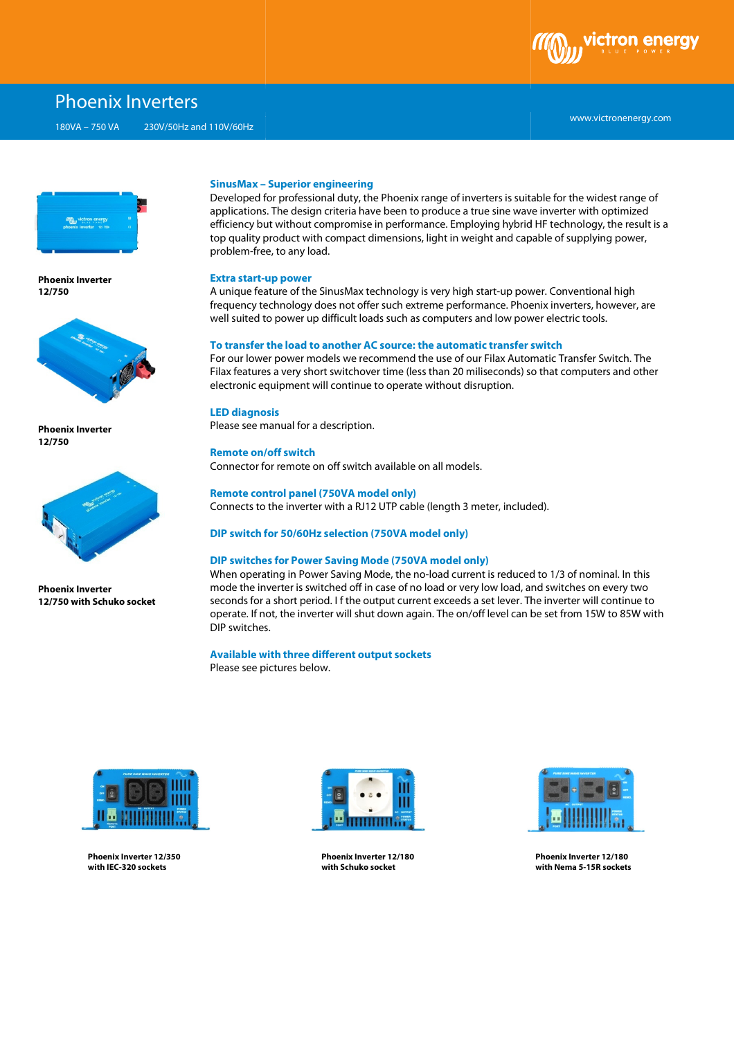

# Phoenix Inverters

180VA – 750 VA 230V/50Hz and 110V/60Hz



**Phoenix Inverter 12/750**



**Phoenix Inverter 12/750**



**Phoenix Inverter 12/750 with Schuko socket**

#### **SinusMax – Superior engineering**

Developed for professional duty, the Phoenix range of inverters is suitable for the widest range of applications. The design criteria have been to produce a true sine wave inverter with optimized efficiency but without compromise in performance. Employing hybrid HF technology, the result is a top quality product with compact dimensions, l light in weight and capable of supplying power, problem-free, to any load. ight in weight and capable of supplying power,<br>very high start-up power. Conventional high<br>me performance. Phoenix inverters, however, are

#### **Extra start-up power**

A unique feature of the SinusMax technology is very high start-up power. Conventional high frequency technology does not offer such extreme performance. Phoenix inverters, however, are well suited to power up difficult loads such as computers and low power electric tools.

## **To transfer the load to another AC source: the automatic transfer switch**

For our lower power models we recommend the use of our Filax Automati Automatic Transfer Switch. The Filax features a very short switchover time (less than 20 miliseconds) so that computers and other electronic equipment will continue to operate without disruption.

## **LED diagnosis**

Please see manual for a description.

#### **Remote on/off switch**

Connector for remote on off switch available on all models.

## **Remote control panel (750VA model only)**

Connects to the inverter with a RJ12 UTP cable (length 3 meter, included).

## **DIP switch for 50/60Hz selection (750VA model only)**

#### **DIP switches for Power Saving Mode (750VA model only)**

When operating in Power Saving Mode, the no-load current is reduced to 1/3 of nominal. In this mode the inverter is switched off in case of no load or very low load, and switches on every two seconds for a short period. I f the output current exceeds a set lever. The inverter will continue to operate. If not, the inverter will shut down again. The on/off level can be set from 15W to 85W with DIP switches.

# **Available with three different output sockets**

Please see pictures pictures below.



**Phoenix Inverter 12/350 with IEC-320 sockets** 



**Phoenix Inverter 12/180 with Schuko socket**



**Phoenix Inverter 12/180 with Nema 5-15R sockets**